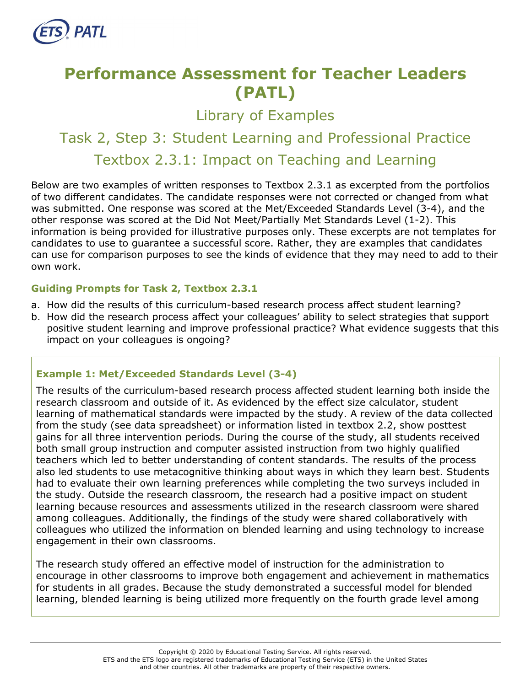

# **Performance Assessment for Teacher Leaders (PATL)**

Library of Examples

# Task 2, Step 3: Student Learning and Professional Practice Textbox 2.3.1: Impact on Teaching and Learning

Below are two examples of written responses to Textbox 2.3.1 as excerpted from the portfolios of two different candidates. The candidate responses were not corrected or changed from what was submitted. One response was scored at the Met/Exceeded Standards Level (3-4), and the other response was scored at the Did Not Meet/Partially Met Standards Level (1-2). This information is being provided for illustrative purposes only. These excerpts are not templates for candidates to use to guarantee a successful score. Rather, they are examples that candidates can use for comparison purposes to see the kinds of evidence that they may need to add to their own work.

## **Guiding Prompts for Task 2, Textbox 2.3.1**

- a. How did the results of this curriculum-based research process affect student learning?
- b. How did the research process affect your colleagues' ability to select strategies that support positive student learning and improve professional practice? What evidence suggests that this impact on your colleagues is ongoing?

## **Example 1: Met/Exceeded Standards Level (3-4)**

The results of the curriculum-based research process affected student learning both inside the research classroom and outside of it. As evidenced by the effect size calculator, student learning of mathematical standards were impacted by the study. A review of the data collected from the study (see data spreadsheet) or information listed in textbox 2.2, show posttest gains for all three intervention periods. During the course of the study, all students received both small group instruction and computer assisted instruction from two highly qualified teachers which led to better understanding of content standards. The results of the process also led students to use metacognitive thinking about ways in which they learn best. Students had to evaluate their own learning preferences while completing the two surveys included in the study. Outside the research classroom, the research had a positive impact on student learning because resources and assessments utilized in the research classroom were shared among colleagues. Additionally, the findings of the study were shared collaboratively with colleagues who utilized the information on blended learning and using technology to increase engagement in their own classrooms.

The research study offered an effective model of instruction for the administration to encourage in other classrooms to improve both engagement and achievement in mathematics for students in all grades. Because the study demonstrated a successful model for blended learning, blended learning is being utilized more frequently on the fourth grade level among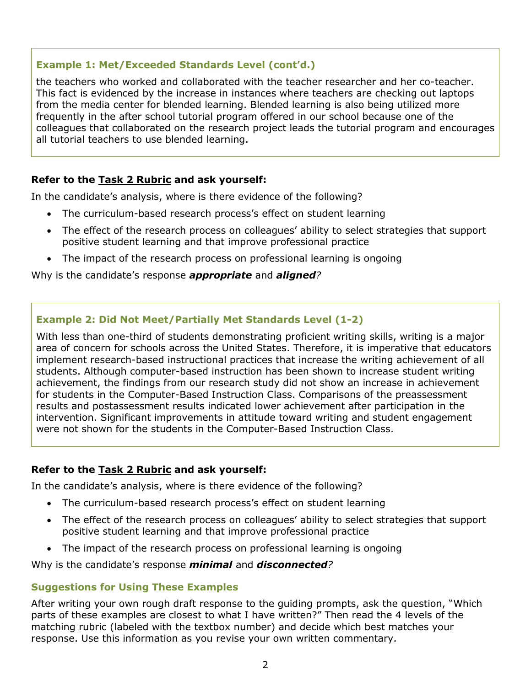## **Example 1: Met/Exceeded Standards Level (cont'd.)**

the teachers who worked and collaborated with the teacher researcher and her co-teacher. This fact is evidenced by the increase in instances where teachers are checking out laptops from the media center for blended learning. Blended learning is also being utilized more frequently in the after school tutorial program offered in our school because one of the colleagues that collaborated on the research project leads the tutorial program and encourages all tutorial teachers to use blended learning.

### **Refer to the [Task 2](http://gace.ets.org/s/pdf/gace_teacher_leadership_assessment_task_2_rubric.pdf) Rubric and ask yourself:**

In the candidate's analysis, where is there evidence of the following?

- The curriculum-based research process's effect on student learning
- The effect of the research process on colleagues' ability to select strategies that support positive student learning and that improve professional practice
- The impact of the research process on professional learning is ongoing

Why is the candidate's response *appropriate* and *aligned?*

## **Example 2: Did Not Meet/Partially Met Standards Level (1-2)**

With less than one-third of students demonstrating proficient writing skills, writing is a major area of concern for schools across the United States. Therefore, it is imperative that educators implement research-based instructional practices that increase the writing achievement of all students. Although computer-based instruction has been shown to increase student writing achievement, the findings from our research study did not show an increase in achievement for students in the Computer-Based Instruction Class. Comparisons of the preassessment results and postassessment results indicated lower achievement after participation in the intervention. Significant improvements in attitude toward writing and student engagement were not shown for the students in the Computer-Based Instruction Class.

### **Refer to the [Task 2](http://gace.ets.org/s/pdf/gace_teacher_leadership_assessment_task_2_rubric.pdf) Rubric and ask yourself:**

In the candidate's analysis, where is there evidence of the following?

- The curriculum-based research process's effect on student learning
- The effect of the research process on colleagues' ability to select strategies that support positive student learning and that improve professional practice
- The impact of the research process on professional learning is ongoing

Why is the candidate's response *minimal* and *disconnected?*

### **Suggestions for Using These Examples**

After writing your own rough draft response to the guiding prompts, ask the question, "Which parts of these examples are closest to what I have written?" Then read the 4 levels of the matching rubric (labeled with the textbox number) and decide which best matches your response. Use this information as you revise your own written commentary.